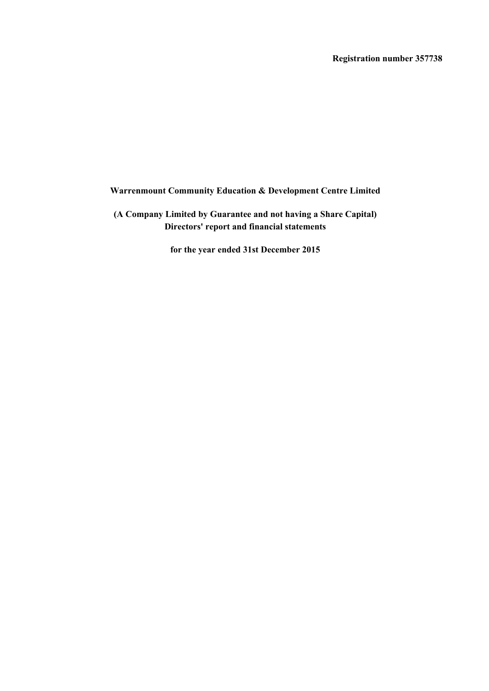## **Registration number 357738**

## **Warrenmount Community Education & Development Centre Limited**

**(A Company Limited by Guarantee and not having a Share Capital) Directors' report and financial statements**

**for the year ended 31st December 2015**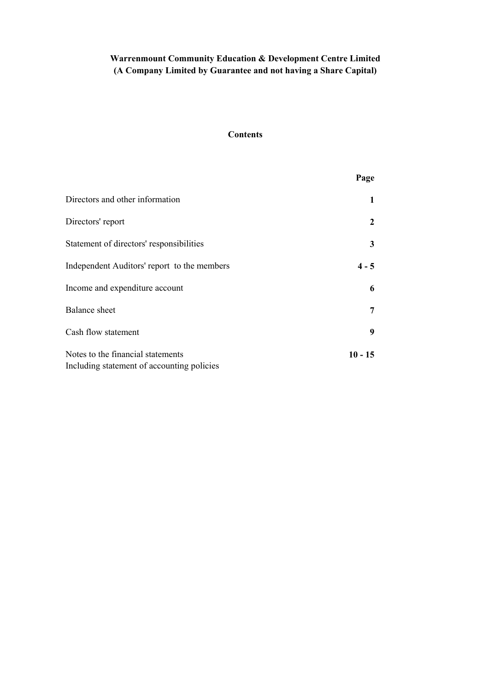## **Contents**

|                                                                                 | Page         |
|---------------------------------------------------------------------------------|--------------|
| Directors and other information                                                 | 1            |
| Directors' report                                                               | $\mathbf{2}$ |
| Statement of directors' responsibilities                                        | 3            |
| Independent Auditors' report to the members                                     | $4 - 5$      |
| Income and expenditure account                                                  | 6            |
| <b>Balance</b> sheet                                                            | 7            |
| Cash flow statement                                                             | 9            |
| Notes to the financial statements<br>Including statement of accounting policies | $10 - 15$    |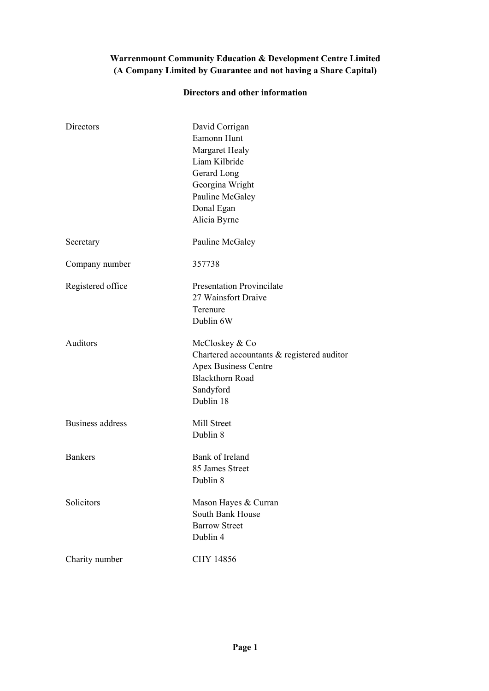## **Directors and other information**

| Directors               | David Corrigan<br>Eamonn Hunt<br>Margaret Healy<br>Liam Kilbride<br>Gerard Long<br>Georgina Wright<br>Pauline McGaley<br>Donal Egan<br>Alicia Byrne |
|-------------------------|-----------------------------------------------------------------------------------------------------------------------------------------------------|
| Secretary               | Pauline McGaley                                                                                                                                     |
| Company number          | 357738                                                                                                                                              |
| Registered office       | <b>Presentation Provincilate</b><br>27 Wainsfort Draive<br>Terenure<br>Dublin 6W                                                                    |
| Auditors                | McCloskey & Co<br>Chartered accountants & registered auditor<br><b>Apex Business Centre</b><br><b>Blackthorn Road</b><br>Sandyford<br>Dublin 18     |
| <b>Business address</b> | Mill Street<br>Dublin 8                                                                                                                             |
| <b>Bankers</b>          | Bank of Ireland<br>85 James Street<br>Dublin 8                                                                                                      |
| Solicitors              | Mason Hayes & Curran<br>South Bank House<br><b>Barrow Street</b><br>Dublin 4                                                                        |
| Charity number          | CHY 14856                                                                                                                                           |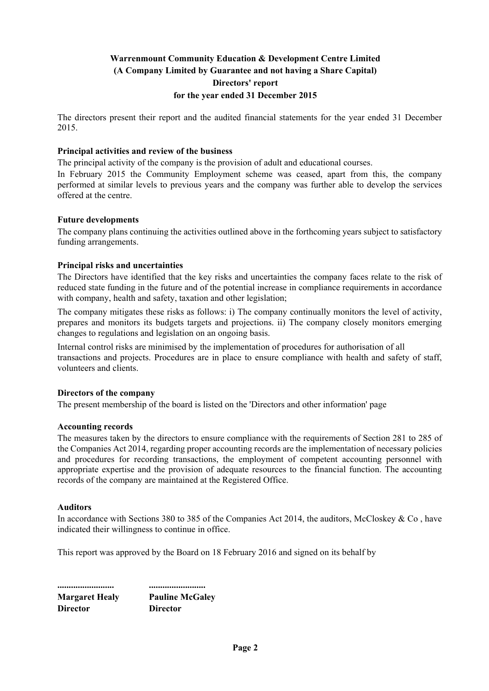# **Warrenmount Community Education & Development Centre Limited (A Company Limited by Guarantee and not having a Share Capital) Directors' report for the year ended 31 December 2015**

The directors present their report and the audited financial statements for the year ended 31 December 2015.

### **Principal activities and review of the business**

The principal activity of the company is the provision of adult and educational courses.

In February 2015 the Community Employment scheme was ceased, apart from this, the company performed at similar levels to previous years and the company was further able to develop the services offered at the centre.

### **Future developments**

The company plans continuing the activities outlined above in the forthcoming years subject to satisfactory funding arrangements.

### **Principal risks and uncertainties**

The Directors have identified that the key risks and uncertainties the company faces relate to the risk of reduced state funding in the future and of the potential increase in compliance requirements in accordance with company, health and safety, taxation and other legislation;

The company mitigates these risks as follows: i) The company continually monitors the level of activity, prepares and monitors its budgets targets and projections. ii) The company closely monitors emerging changes to regulations and legislation on an ongoing basis.

Internal control risks are minimised by the implementation of procedures for authorisation of all transactions and projects. Procedures are in place to ensure compliance with health and safety of staff, volunteers and clients.

### **Directors of the company**

The present membership of the board is listed on the 'Directors and other information' page

### **Accounting records**

The measures taken by the directors to ensure compliance with the requirements of Section 281 to 285 of the Companies Act 2014, regarding proper accounting records are the implementation of necessary policies and procedures for recording transactions, the employment of competent accounting personnel with appropriate expertise and the provision of adequate resources to the financial function. The accounting records of the company are maintained at the Registered Office.

### **Auditors**

In accordance with Sections 380 to 385 of the Companies Act 2014, the auditors, McCloskey & Co , have indicated their willingness to continue in office.

This report was approved by the Board on 18 February 2016 and signed on its behalf by

**......................... ......................... Margaret Healy Pauline McGaley Director Director**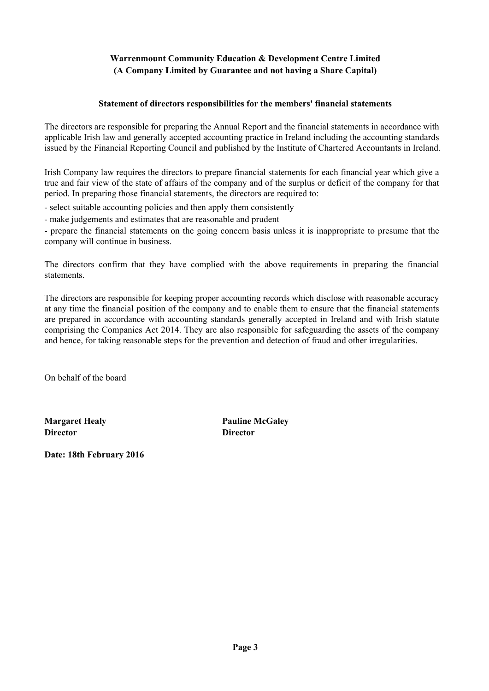## **Statement of directors responsibilities for the members' financial statements**

The directors are responsible for preparing the Annual Report and the financial statements in accordance with applicable Irish law and generally accepted accounting practice in Ireland including the accounting standards issued by the Financial Reporting Council and published by the Institute of Chartered Accountants in Ireland.

Irish Company law requires the directors to prepare financial statements for each financial year which give a true and fair view of the state of affairs of the company and of the surplus or deficit of the company for that period. In preparing those financial statements, the directors are required to:

- select suitable accounting policies and then apply them consistently

- make judgements and estimates that are reasonable and prudent

- prepare the financial statements on the going concern basis unless it is inappropriate to presume that the company will continue in business.

The directors confirm that they have complied with the above requirements in preparing the financial statements.

The directors are responsible for keeping proper accounting records which disclose with reasonable accuracy at any time the financial position of the company and to enable them to ensure that the financial statements are prepared in accordance with accounting standards generally accepted in Ireland and with Irish statute comprising the Companies Act 2014. They are also responsible for safeguarding the assets of the company and hence, for taking reasonable steps for the prevention and detection of fraud and other irregularities.

On behalf of the board

**Director** Director

**Margaret Healy** Pauline McGaley

**Date: 18th February 2016**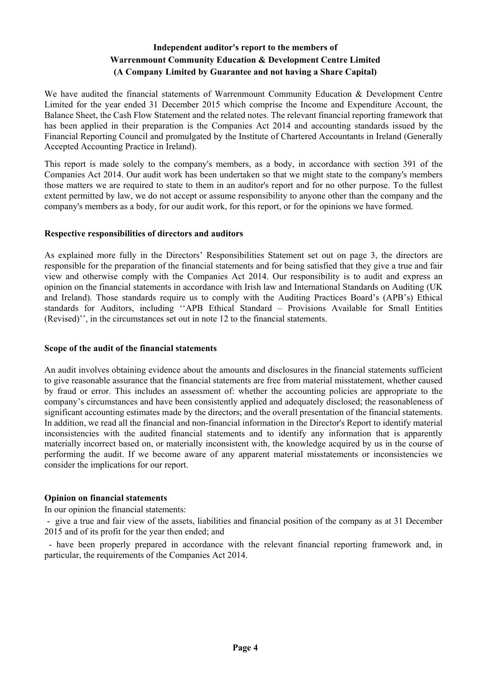# **Independent auditor's report to the members of Warrenmount Community Education & Development Centre Limited (A Company Limited by Guarantee and not having a Share Capital)**

We have audited the financial statements of Warrenmount Community Education & Development Centre Limited for the year ended 31 December 2015 which comprise the Income and Expenditure Account, the Balance Sheet, the Cash Flow Statement and the related notes. The relevant financial reporting framework that has been applied in their preparation is the Companies Act 2014 and accounting standards issued by the Financial Reporting Council and promulgated by the Institute of Chartered Accountants in Ireland (Generally Accepted Accounting Practice in Ireland).

This report is made solely to the company's members, as a body, in accordance with section 391 of the Companies Act 2014. Our audit work has been undertaken so that we might state to the company's members those matters we are required to state to them in an auditor's report and for no other purpose. To the fullest extent permitted by law, we do not accept or assume responsibility to anyone other than the company and the company's members as a body, for our audit work, for this report, or for the opinions we have formed.

### **Respective responsibilities of directors and auditors**

As explained more fully in the Directors' Responsibilities Statement set out on page 3, the directors are responsible for the preparation of the financial statements and for being satisfied that they give a true and fair view and otherwise comply with the Companies Act 2014. Our responsibility is to audit and express an opinion on the financial statements in accordance with Irish law and International Standards on Auditing (UK and Ireland). Those standards require us to comply with the Auditing Practices Board's (APB's) Ethical standards for Auditors, including ''APB Ethical Standard – Provisions Available for Small Entities (Revised)'', in the circumstances set out in note 12 to the financial statements.

### **Scope of the audit of the financial statements**

An audit involves obtaining evidence about the amounts and disclosures in the financial statements sufficient to give reasonable assurance that the financial statements are free from material misstatement, whether caused by fraud or error. This includes an assessment of: whether the accounting policies are appropriate to the company's circumstances and have been consistently applied and adequately disclosed; the reasonableness of significant accounting estimates made by the directors; and the overall presentation of the financial statements. In addition, we read all the financial and non-financial information in the Director's Report to identify material inconsistencies with the audited financial statements and to identify any information that is apparently materially incorrect based on, or materially inconsistent with, the knowledge acquired by us in the course of performing the audit. If we become aware of any apparent material misstatements or inconsistencies we consider the implications for our report.

## **Opinion on financial statements**

In our opinion the financial statements:

 - give a true and fair view of the assets, liabilities and financial position of the company as at 31 December 2015 and of its profit for the year then ended; and

 - have been properly prepared in accordance with the relevant financial reporting framework and, in particular, the requirements of the Companies Act 2014.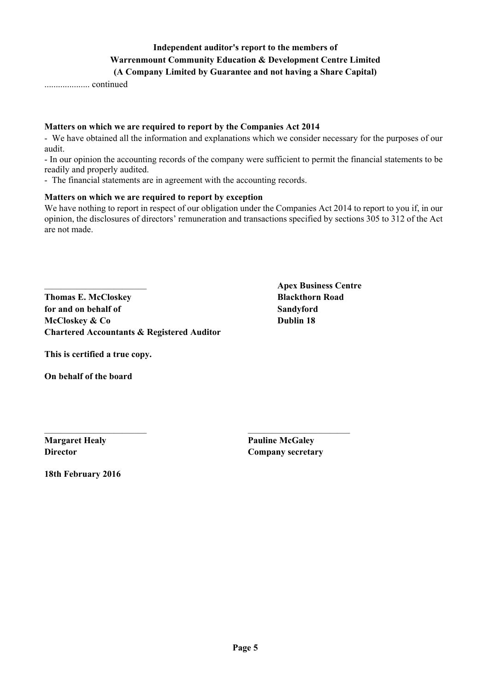## **Independent auditor's report to the members of Warrenmount Community Education & Development Centre Limited (A Company Limited by Guarantee and not having a Share Capital)**

.................... continued

### **Matters on which we are required to report by the Companies Act 2014**

- We have obtained all the information and explanations which we consider necessary for the purposes of our audit.

- In our opinion the accounting records of the company were sufficient to permit the financial statements to be readily and properly audited.

- The financial statements are in agreement with the accounting records.

### **Matters on which we are required to report by exception**

We have nothing to report in respect of our obligation under the Companies Act 2014 to report to you if, in our opinion, the disclosures of directors' remuneration and transactions specified by sections 305 to 312 of the Act are not made.

**Thomas E. McCloskey Blackthorn Road for and on behalf of** Sandyford **McCloskey & Co** Dublin 18 **Chartered Accountants & Registered Auditor**

\_\_\_\_\_\_\_\_\_\_\_\_\_\_\_\_\_\_\_\_\_\_\_\_\_ **Apex Business Centre**

**This is certified a true copy.**

**On behalf of the board**

**18th February 2016**

**Margaret Healy** Pauline McGaley **Director** Company secretary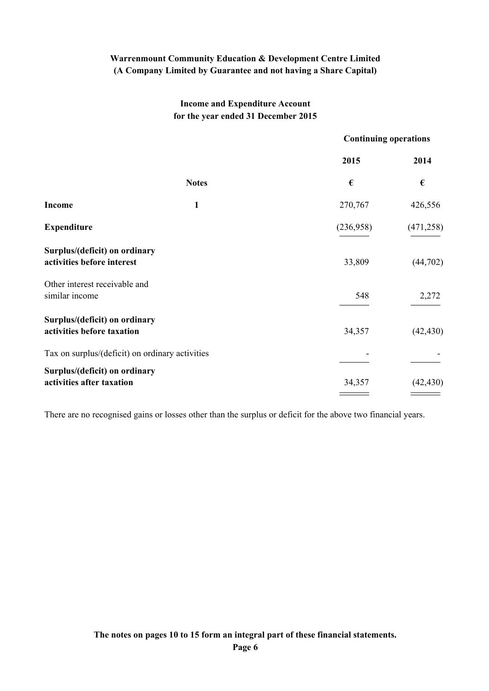## **Income and Expenditure Account for the year ended 31 December 2015**

|                                                             | <b>Continuing operations</b> |            |
|-------------------------------------------------------------|------------------------------|------------|
|                                                             | 2015                         | 2014       |
| <b>Notes</b>                                                | €                            | €          |
| <b>Income</b><br>$\mathbf{1}$                               | 270,767                      | 426,556    |
| <b>Expenditure</b>                                          | (236,958)                    | (471, 258) |
| Surplus/(deficit) on ordinary<br>activities before interest | 33,809                       | (44, 702)  |
| Other interest receivable and<br>similar income             | 548                          | 2,272      |
| Surplus/(deficit) on ordinary<br>activities before taxation | 34,357                       | (42, 430)  |
| Tax on surplus/(deficit) on ordinary activities             |                              |            |
| Surplus/(deficit) on ordinary<br>activities after taxation  | 34,357                       | (42, 430)  |

There are no recognised gains or losses other than the surplus or deficit for the above two financial years.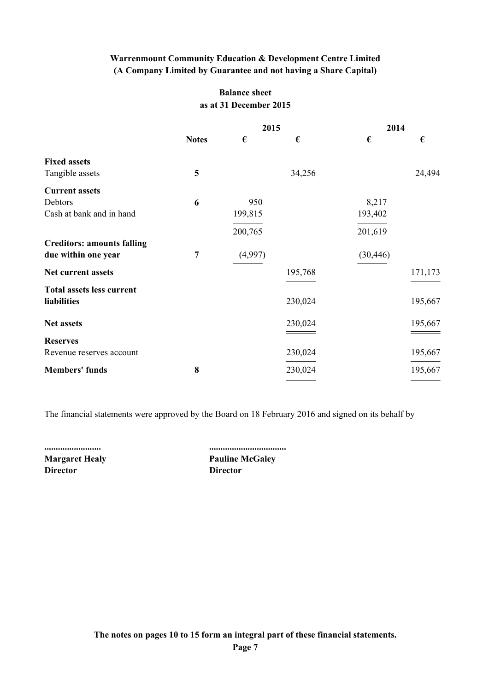## **Balance sheet as at 31 December 2015**

|                                   |                | 2015    |         | 2014      |         |
|-----------------------------------|----------------|---------|---------|-----------|---------|
|                                   | <b>Notes</b>   | €       | €       | €         | €       |
| <b>Fixed assets</b>               |                |         |         |           |         |
| Tangible assets                   | 5              |         | 34,256  |           | 24,494  |
| <b>Current assets</b>             |                |         |         |           |         |
| Debtors                           | 6              | 950     |         | 8,217     |         |
| Cash at bank and in hand          |                | 199,815 |         | 193,402   |         |
|                                   |                | 200,765 |         | 201,619   |         |
| <b>Creditors: amounts falling</b> |                |         |         |           |         |
| due within one year               | $\overline{7}$ | (4,997) |         | (30, 446) |         |
| <b>Net current assets</b>         |                |         | 195,768 |           | 171,173 |
| <b>Total assets less current</b>  |                |         |         |           |         |
| liabilities                       |                |         | 230,024 |           | 195,667 |
| <b>Net assets</b>                 |                |         | 230,024 |           | 195,667 |
| <b>Reserves</b>                   |                |         |         |           |         |
| Revenue reserves account          |                |         | 230,024 |           | 195,667 |
|                                   |                |         |         |           |         |
| <b>Members' funds</b>             | 8              |         | 230,024 |           | 195,667 |

The financial statements were approved by the Board on 18 February 2016 and signed on its behalf by

**Director Director**

**......................... .................................. Margaret Healy Pauline McGaley**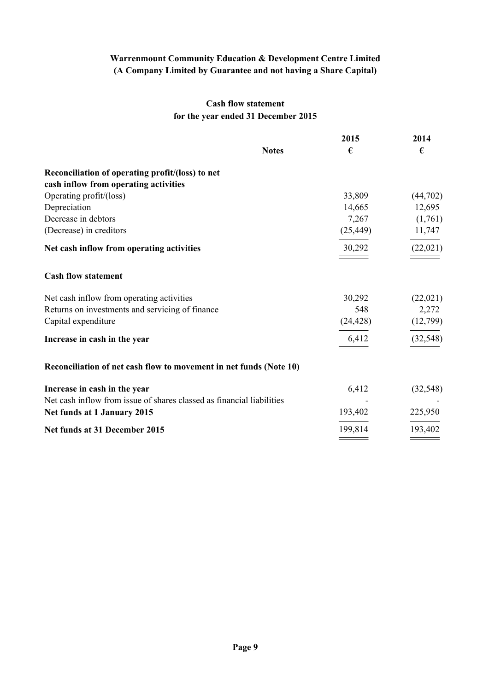## **Cash flow statement for the year ended 31 December 2015**

|                                                                       | 2015      | 2014      |
|-----------------------------------------------------------------------|-----------|-----------|
| <b>Notes</b>                                                          | €         | €         |
| Reconciliation of operating profit/(loss) to net                      |           |           |
| cash inflow from operating activities                                 |           |           |
| Operating profit/(loss)                                               | 33,809    | (44, 702) |
| Depreciation                                                          | 14,665    | 12,695    |
| Decrease in debtors                                                   | 7,267     | (1,761)   |
| (Decrease) in creditors                                               | (25, 449) | 11,747    |
| Net cash inflow from operating activities                             | 30,292    | (22, 021) |
| <b>Cash flow statement</b>                                            |           |           |
| Net cash inflow from operating activities                             | 30,292    | (22, 021) |
| Returns on investments and servicing of finance                       | 548       | 2,272     |
| Capital expenditure                                                   | (24, 428) | (12,799)  |
| Increase in cash in the year                                          | 6,412     | (32, 548) |
| Reconciliation of net cash flow to movement in net funds (Note 10)    |           |           |
| Increase in cash in the year                                          | 6,412     | (32, 548) |
| Net cash inflow from issue of shares classed as financial liabilities |           |           |
| Net funds at 1 January 2015                                           | 193,402   | 225,950   |
| Net funds at 31 December 2015                                         | 199,814   | 193,402   |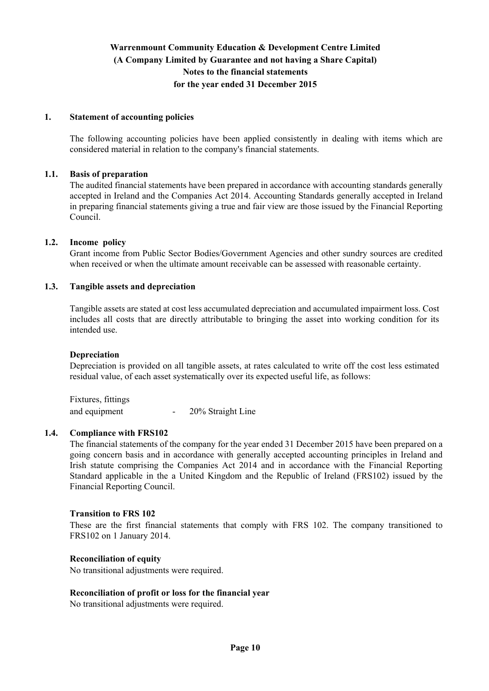### **1. Statement of accounting policies**

The following accounting policies have been applied consistently in dealing with items which are considered material in relation to the company's financial statements.

### **1.1. Basis of preparation**

The audited financial statements have been prepared in accordance with accounting standards generally accepted in Ireland and the Companies Act 2014. Accounting Standards generally accepted in Ireland in preparing financial statements giving a true and fair view are those issued by the Financial Reporting Council.

### **1.2. Income policy**

Grant income from Public Sector Bodies/Government Agencies and other sundry sources are credited when received or when the ultimate amount receivable can be assessed with reasonable certainty.

### **1.3. Tangible assets and depreciation**

Tangible assets are stated at cost less accumulated depreciation and accumulated impairment loss. Cost includes all costs that are directly attributable to bringing the asset into working condition for its intended use.

#### **Depreciation**

Depreciation is provided on all tangible assets, at rates calculated to write off the cost less estimated residual value, of each asset systematically over its expected useful life, as follows:

Fixtures, fittings and equipment - 20% Straight Line

### **1.4. Compliance with FRS102**

The financial statements of the company for the year ended 31 December 2015 have been prepared on a going concern basis and in accordance with generally accepted accounting principles in Ireland and Irish statute comprising the Companies Act 2014 and in accordance with the Financial Reporting Standard applicable in the a United Kingdom and the Republic of Ireland (FRS102) issued by the Financial Reporting Council.

#### **Transition to FRS 102**

These are the first financial statements that comply with FRS 102. The company transitioned to FRS102 on 1 January 2014.

#### **Reconciliation of equity**

No transitional adjustments were required.

### **Reconciliation of profit or loss for the financial year**

No transitional adjustments were required.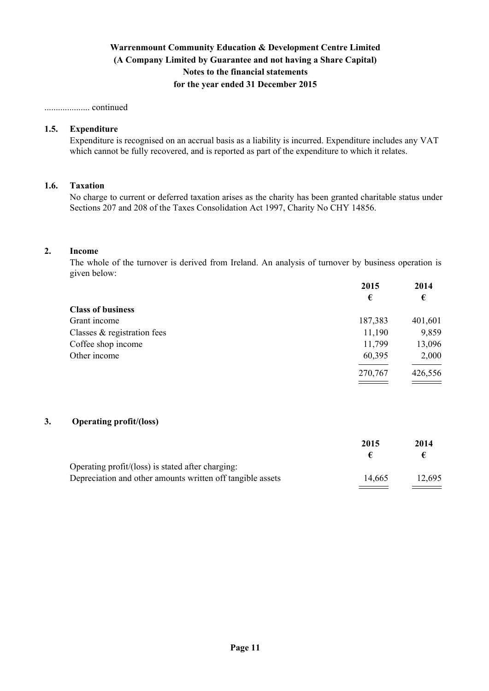.................... continued

## **1.5. Expenditure**

Expenditure is recognised on an accrual basis as a liability is incurred. Expenditure includes any VAT which cannot be fully recovered, and is reported as part of the expenditure to which it relates.

## **1.6. Taxation**

No charge to current or deferred taxation arises as the charity has been granted charitable status under Sections 207 and 208 of the Taxes Consolidation Act 1997, Charity No CHY 14856.

### **2. Income**

The whole of the turnover is derived from Ireland. An analysis of turnover by business operation is given below:

|                                | 2015    | 2014    |
|--------------------------------|---------|---------|
|                                | €       | €       |
| <b>Class of business</b>       |         |         |
| Grant income                   | 187,383 | 401,601 |
| Classes $\&$ registration fees | 11,190  | 9,859   |
| Coffee shop income             | 11,799  | 13,096  |
| Other income                   | 60,395  | 2,000   |
|                                | 270,767 | 426,556 |
|                                |         |         |

### **3. Operating profit/(loss)**

|                                                            | 2015   | 2014   |
|------------------------------------------------------------|--------|--------|
|                                                            |        |        |
| Operating profit/(loss) is stated after charging:          |        |        |
| Depreciation and other amounts written off tangible assets | 14,665 | 12.695 |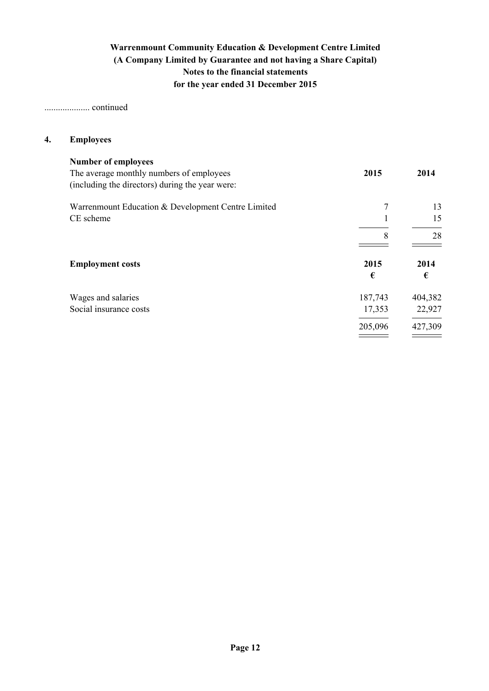.................... continued

## **4. Employees**

| <b>Number of employees</b><br>The average monthly numbers of employees<br>(including the directors) during the year were: | 2015    | 2014    |
|---------------------------------------------------------------------------------------------------------------------------|---------|---------|
| Warrenmount Education & Development Centre Limited                                                                        |         | 13      |
| CE scheme                                                                                                                 |         | 15      |
|                                                                                                                           | 8       | 28      |
| <b>Employment costs</b>                                                                                                   | 2015    | 2014    |
|                                                                                                                           | €       | €       |
| Wages and salaries                                                                                                        | 187,743 | 404,382 |
| Social insurance costs                                                                                                    | 17,353  | 22,927  |
|                                                                                                                           | 205,096 | 427,309 |
|                                                                                                                           |         |         |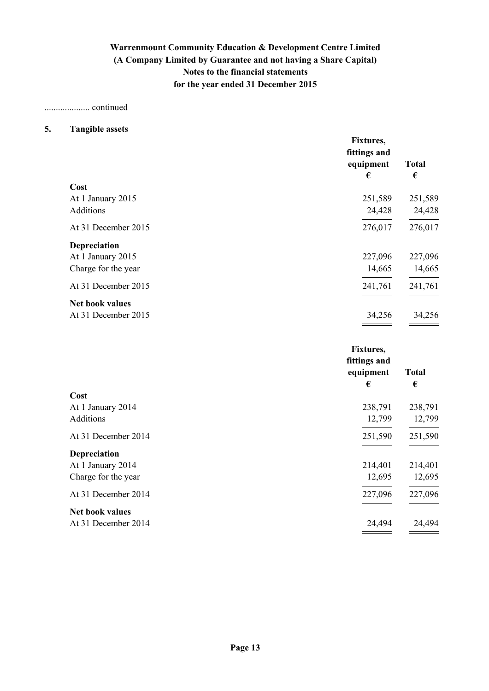.................... continued

### **5. Tangible assets**

|                                                          | Fixtures,<br>fittings and<br>equipment<br>€ | <b>Total</b><br>€ |
|----------------------------------------------------------|---------------------------------------------|-------------------|
| Cost                                                     |                                             |                   |
| At 1 January 2015<br>Additions                           | 251,589<br>24,428                           | 251,589<br>24,428 |
| At 31 December 2015                                      | 276,017                                     | 276,017           |
| Depreciation<br>At 1 January 2015<br>Charge for the year | 227,096<br>14,665                           | 227,096<br>14,665 |
| At 31 December 2015                                      | 241,761                                     | 241,761           |
| <b>Net book values</b><br>At 31 December 2015            | 34,256                                      | 34,256            |

|                        | Fixtures,<br>fittings and<br>equipment<br>€ | <b>Total</b><br>€ |
|------------------------|---------------------------------------------|-------------------|
| Cost                   |                                             |                   |
| At 1 January 2014      | 238,791                                     | 238,791           |
| <b>Additions</b>       | 12,799                                      | 12,799            |
| At 31 December 2014    | 251,590                                     | 251,590           |
| Depreciation           |                                             |                   |
| At 1 January 2014      | 214,401                                     | 214,401           |
| Charge for the year    | 12,695                                      | 12,695            |
| At 31 December 2014    | 227,096                                     | 227,096           |
| <b>Net book values</b> |                                             |                   |
| At 31 December 2014    | 24,494                                      | 24,494            |
|                        |                                             |                   |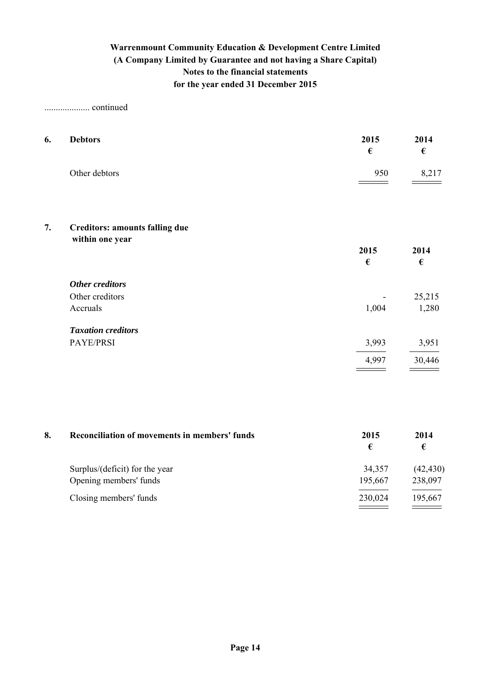## .................... continued

| 6. | <b>Debtors</b>                                           | 2015<br>€                | 2014<br>€ |
|----|----------------------------------------------------------|--------------------------|-----------|
|    | Other debtors                                            | 950                      | 8,217     |
| 7. | <b>Creditors: amounts falling due</b><br>within one year |                          |           |
|    |                                                          | 2015<br>$\pmb{\epsilon}$ | 2014<br>€ |
|    | Other creditors                                          |                          |           |
|    | Other creditors                                          |                          | 25,215    |
|    | Accruals                                                 | 1,004                    | 1,280     |
|    | <b>Taxation creditors</b>                                |                          |           |
|    | PAYE/PRSI                                                | 3,993                    | 3,951     |
|    |                                                          | 4,997                    | 30,446    |
|    |                                                          |                          |           |
|    |                                                          |                          |           |
| 8. | Reconciliation of movements in members' funds            | 2015                     | 2014      |

| Surplus/(deficit) for the year | 34,357  | (42, 430) |
|--------------------------------|---------|-----------|
| Opening members' funds         | 195,667 | 238,097   |
| Closing members' funds         | 230,024 | 195,667   |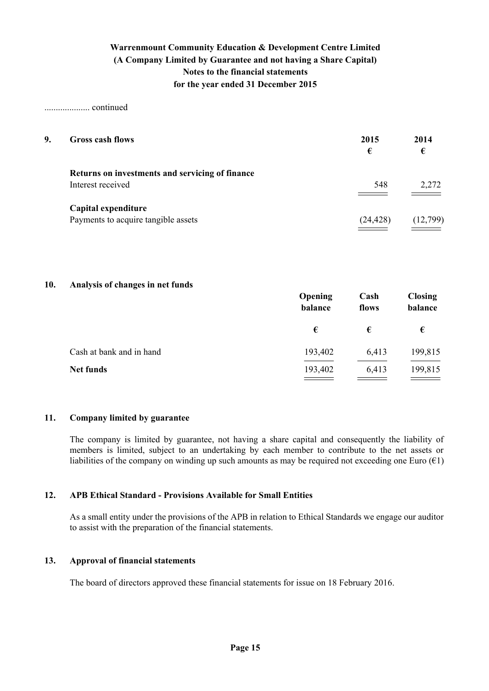### .................... continued

| 9. | <b>Gross cash flows</b>                         | 2015<br>€ | 2014<br>€ |
|----|-------------------------------------------------|-----------|-----------|
|    | Returns on investments and servicing of finance |           |           |
|    | Interest received                               | 548       | 2,272     |
|    | Capital expenditure                             |           |           |
|    | Payments to acquire tangible assets             | (24, 428) | 799)      |

### **10. Analysis of changes in net funds**

|                          | Opening<br>balance | Cash<br>flows<br>€ | <b>Closing</b><br>balance<br>€ |
|--------------------------|--------------------|--------------------|--------------------------------|
|                          | €                  |                    |                                |
| Cash at bank and in hand | 193,402            | 6,413              | 199,815                        |
| Net funds                | 193,402            | 6,413              | 199,815                        |

### **11. Company limited by guarantee**

The company is limited by guarantee, not having a share capital and consequently the liability of members is limited, subject to an undertaking by each member to contribute to the net assets or liabilities of the company on winding up such amounts as may be required not exceeding one Euro  $(61)$ 

### **12. APB Ethical Standard - Provisions Available for Small Entities**

As a small entity under the provisions of the APB in relation to Ethical Standards we engage our auditor to assist with the preparation of the financial statements.

## **13. Approval of financial statements**

The board of directors approved these financial statements for issue on 18 February 2016.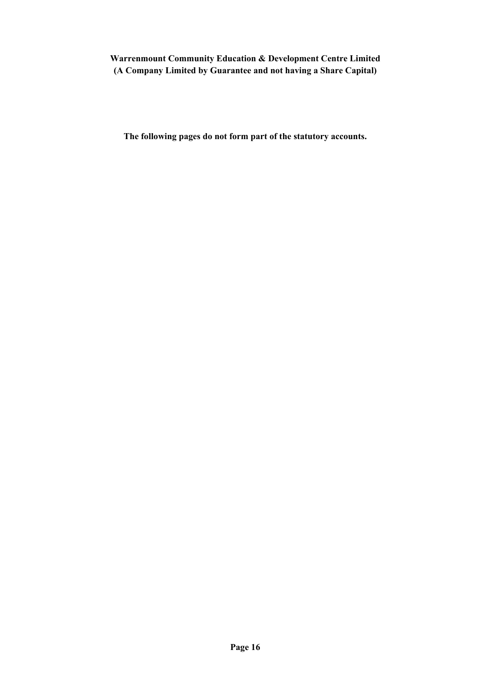**The following pages do not form part of the statutory accounts.**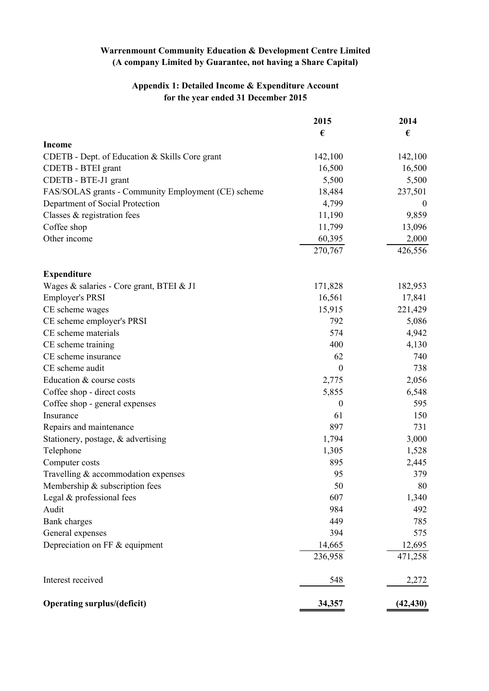## **Appendix 1: Detailed Income & Expenditure Account for the year ended 31 December 2015**

|                                                     | 2015     | 2014             |
|-----------------------------------------------------|----------|------------------|
|                                                     | €        | €                |
| <b>Income</b>                                       |          |                  |
| CDETB - Dept. of Education & Skills Core grant      | 142,100  | 142,100          |
| CDETB - BTEI grant                                  | 16,500   | 16,500           |
| CDETB - BTE-J1 grant                                | 5,500    | 5,500            |
| FAS/SOLAS grants - Community Employment (CE) scheme | 18,484   | 237,501          |
| Department of Social Protection                     | 4,799    | $\boldsymbol{0}$ |
| Classes $&$ registration fees                       | 11,190   | 9,859            |
| Coffee shop                                         | 11,799   | 13,096           |
| Other income                                        | 60,395   | 2,000            |
|                                                     | 270,767  | 426,556          |
| <b>Expenditure</b>                                  |          |                  |
| Wages & salaries - Core grant, BTEI & J1            | 171,828  | 182,953          |
| <b>Employer's PRSI</b>                              | 16,561   | 17,841           |
| CE scheme wages                                     | 15,915   | 221,429          |
| CE scheme employer's PRSI                           | 792      | 5,086            |
| CE scheme materials                                 | 574      | 4,942            |
| CE scheme training                                  | 400      | 4,130            |
| CE scheme insurance                                 | 62       | 740              |
| CE scheme audit                                     | $\theta$ | 738              |
| Education & course costs                            | 2,775    | 2,056            |
| Coffee shop - direct costs                          | 5,855    | 6,548            |
| Coffee shop - general expenses                      | $\theta$ | 595              |
| Insurance                                           | 61       | 150              |
| Repairs and maintenance                             | 897      | 731              |
| Stationery, postage, & advertising                  | 1,794    | 3,000            |
| Telephone                                           | 1,305    | 1,528            |
| Computer costs                                      | 895      | 2,445            |
| Travelling & accommodation expenses                 | 95       | 379              |
| Membership & subscription fees                      | 50       | 80               |
| Legal $&$ professional fees                         | 607      | 1,340            |
| Audit                                               | 984      | 492              |
| Bank charges                                        | 449      | 785              |
| General expenses                                    | 394      | 575              |
| Depreciation on FF & equipment                      | 14,665   | 12,695           |
|                                                     | 236,958  | 471,258          |
| Interest received                                   | 548      | 2,272            |
| <b>Operating surplus/(deficit)</b>                  | 34,357   | (42, 430)        |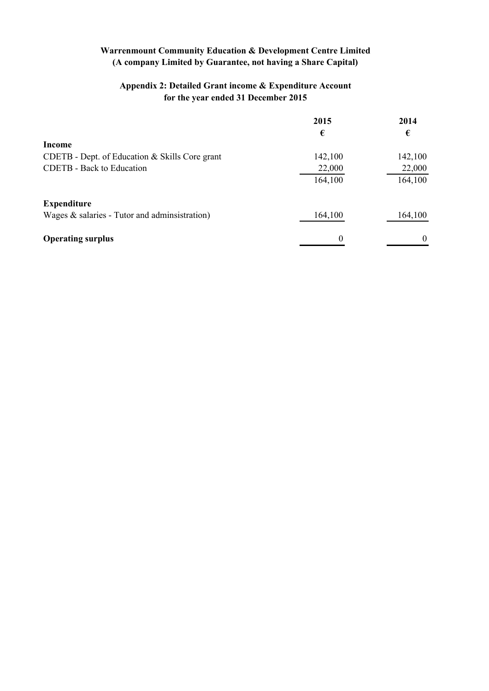# **(A company Limited by Guarantee, not having a Share Capital) Warrenmount Community Education & Development Centre Limited**

## **Appendix 2: Detailed Grant income & Expenditure Account for the year ended 31 December 2015**

|                                                 | 2015    | 2014     |
|-------------------------------------------------|---------|----------|
|                                                 | €       | €        |
| Income                                          |         |          |
| CDETB - Dept. of Education & Skills Core grant  | 142,100 | 142,100  |
| <b>CDETB</b> - Back to Education                | 22,000  | 22,000   |
|                                                 | 164,100 | 164,100  |
| <b>Expenditure</b>                              |         |          |
| Wages $\&$ salaries - Tutor and administration) | 164,100 | 164,100  |
| <b>Operating surplus</b>                        | 0       | $\theta$ |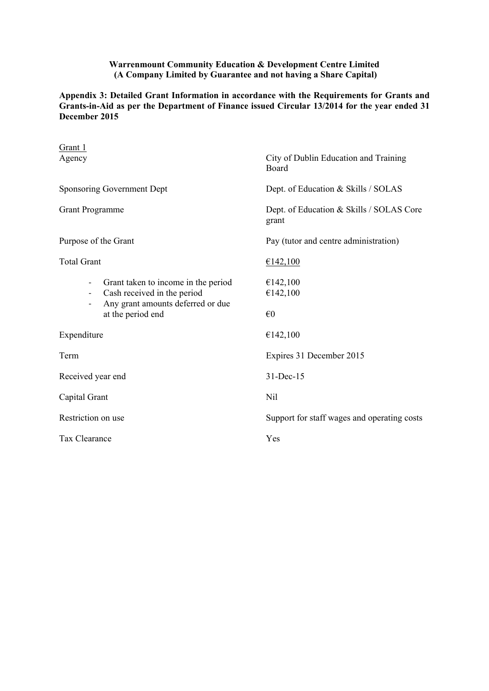**Appendix 3: Detailed Grant Information in accordance with the Requirements for Grants and Grants-in-Aid as per the Department of Finance issued Circular 13/2014 for the year ended 31 December 2015** 

| Grant 1                                                                                 |                                                   |  |
|-----------------------------------------------------------------------------------------|---------------------------------------------------|--|
| Agency                                                                                  | City of Dublin Education and Training<br>Board    |  |
| Sponsoring Government Dept                                                              | Dept. of Education & Skills / SOLAS               |  |
| <b>Grant Programme</b>                                                                  | Dept. of Education & Skills / SOLAS Core<br>grant |  |
| Purpose of the Grant                                                                    | Pay (tutor and centre administration)             |  |
| <b>Total Grant</b>                                                                      | €142,100                                          |  |
| Grant taken to income in the period<br>$\qquad \qquad -$<br>Cash received in the period | €142,100<br>€142,100                              |  |
| Any grant amounts deferred or due<br>at the period end                                  | $\epsilon$ 0                                      |  |
| Expenditure                                                                             | €142,100                                          |  |
| Term                                                                                    | Expires 31 December 2015                          |  |
| Received year end                                                                       | 31-Dec-15                                         |  |
| Capital Grant                                                                           | <b>Nil</b>                                        |  |
| Restriction on use                                                                      | Support for staff wages and operating costs       |  |
| Tax Clearance                                                                           | Yes                                               |  |